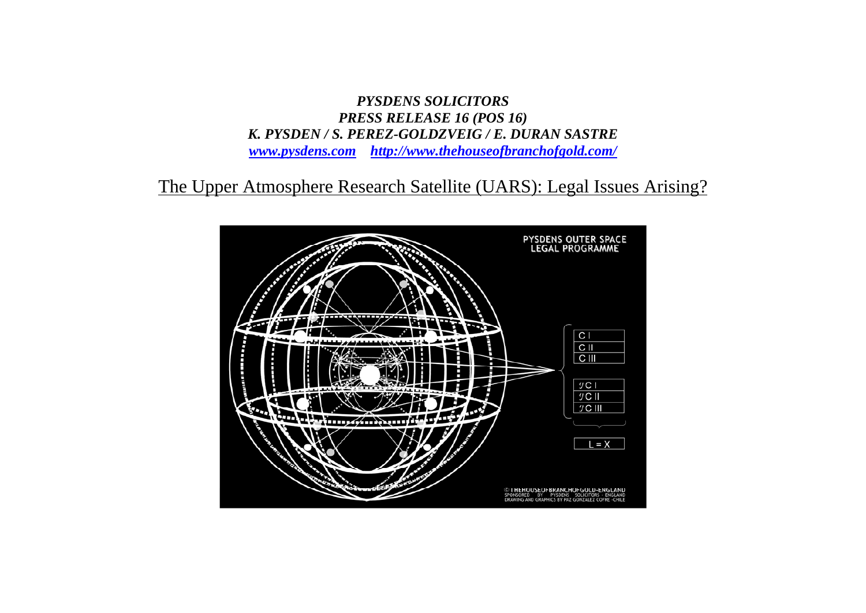*PYSDENS SOLICITORS PRESS RELEASE 16 (POS 16) K. PYSDEN / S. PEREZ-GOLDZVEIG / E. DURAN SASTRE www.pysdens.com http://www.thehouseofbranchofgold.com/*

The Upper Atmosphere Research Satellite (UARS): Legal Issues Arising?

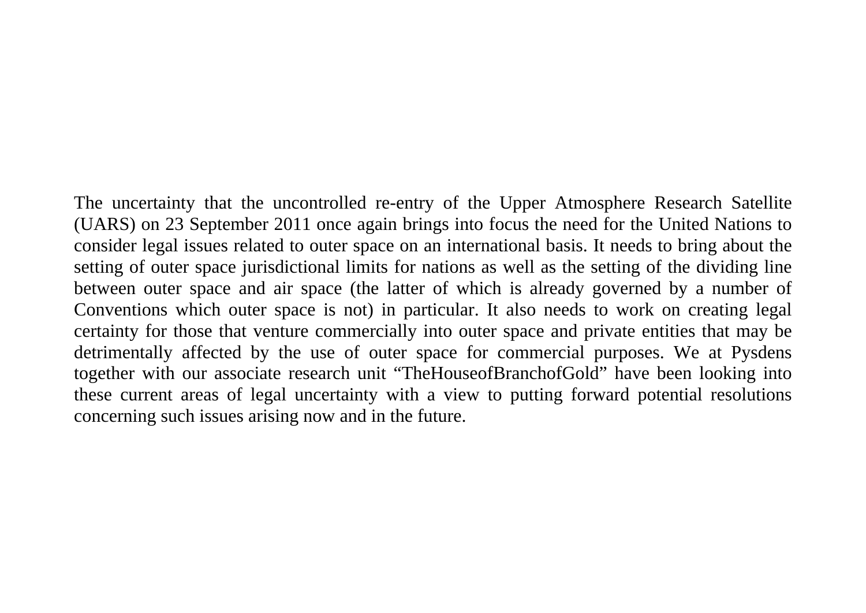The uncertainty that the uncontrolled re-entry of the Upper Atmosphere Research Satellite (UARS) on 23 September 2011 once again brings into focus the need for the United Nations to consider legal issues related to outer space on an international basis. It needs to bring about the setting of outer space jurisdictional limits for nations as well as the setting of the dividing line between outer space and air space (the latter of which is already governed by a number of Conventions which outer space is not) in particular. It also needs to work on creating legal certainty for those that venture commercially into outer space and private entities that may be detrimentally affected by the use of outer space for commercial purposes. We at Pysdens together with our associate research unit "TheHouseofBranchofGold" have been looking into these current areas of legal uncertainty with a view to putting forward potential resolutions concerning such issues arising now and in the future.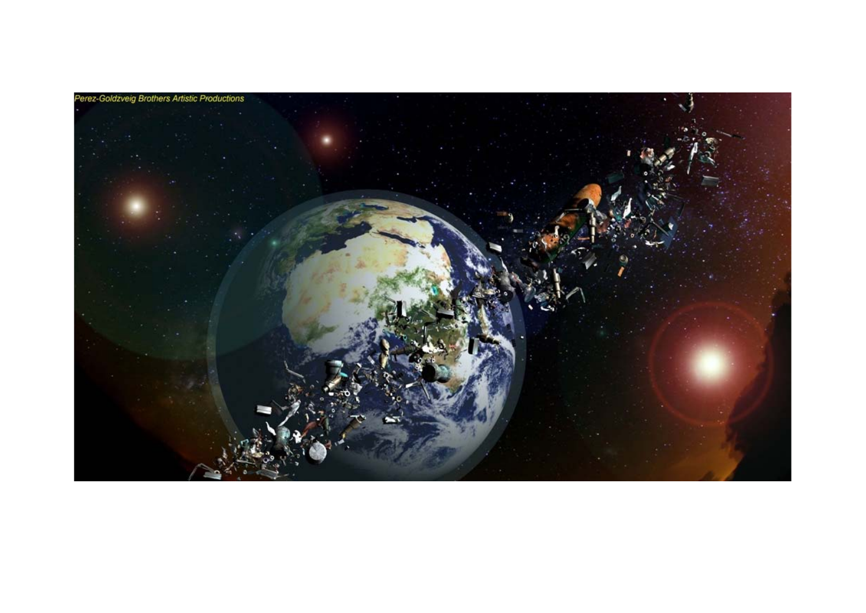